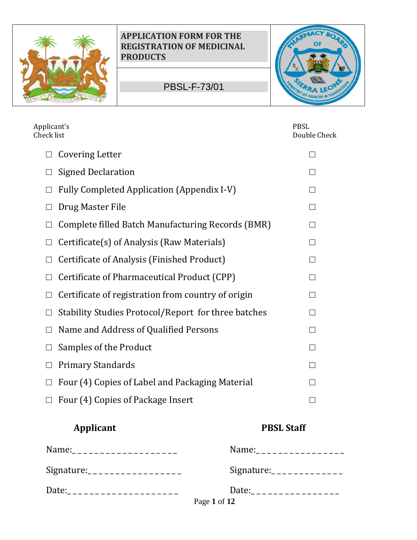

PBSL-F-73/01



| Applicant's<br>Check list                                       | <b>PBSL</b><br>Double Check |  |
|-----------------------------------------------------------------|-----------------------------|--|
| <b>Covering Letter</b><br>$\Box$                                | $\mathbf{I}$                |  |
| <b>Signed Declaration</b>                                       |                             |  |
| <b>Fully Completed Application (Appendix I-V)</b><br>П          | П                           |  |
| Drug Master File                                                | П                           |  |
| Complete filled Batch Manufacturing Records (BMR)<br>$\Box$     | $\Box$                      |  |
| Certificate(s) of Analysis (Raw Materials)<br>$\vert \ \ \vert$ | П                           |  |
| Certificate of Analysis (Finished Product)<br>$\Box$            | П                           |  |
| Certificate of Pharmaceutical Product (CPP)<br>$\Box$           | П                           |  |
| Certificate of registration from country of origin              | П                           |  |
| Stability Studies Protocol/Report for three batches<br>$\Box$   | П                           |  |
| Name and Address of Qualified Persons<br>П                      | П                           |  |
| Samples of the Product<br>Ш                                     | П                           |  |
| <b>Primary Standards</b>                                        | $\mathsf{L}$                |  |
| Four (4) Copies of Label and Packaging Material                 | $\mathsf{L}$                |  |
| Four (4) Copies of Package Insert                               | $\mathcal{L}$               |  |

# **Applicant PBSL Staff**

| Name:_____________________    | Name:__________________ |
|-------------------------------|-------------------------|
| Signature:___________________ | Signature:              |
| Date:______________________   | Page 1 of 12            |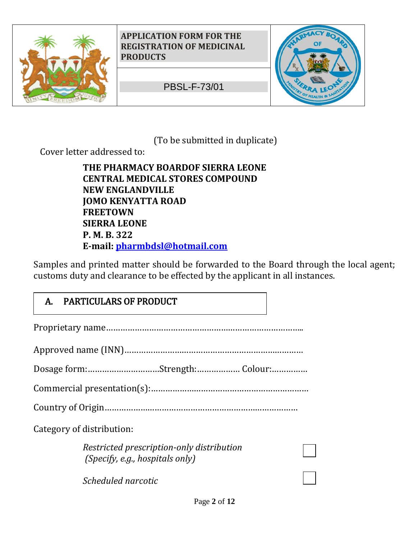

PBSL-F-73/01



(To be submitted in duplicate)

Cover letter addressed to:

**THE PHARMACY BOARDOF SIERRA LEONE CENTRAL MEDICAL STORES COMPOUND NEW ENGLANDVILLE JOMO KENYATTA ROAD FREETOWN SIERRA LEONE P. M. B. 322 E-mail: pharmbdsl@hotmail.com** 

Samples and printed matter should be forwarded to the Board through the local agent; customs duty and clearance to be effected by the applicant in all instances.

# A. PARTICULARS OF PRODUCT

Proprietary name………………………………………………………………………..

Approved name (INN)…………………………………………………………………

Dosage form:…………………………Strength:……………… Colour:……………

Commercial presentation(s):…………………………………………………………

Country of Origin………………………………………………………………………

Category of distribution:

*Restricted prescription-only distribution (Specify, e.g., hospitals only)*

*Scheduled narcotic*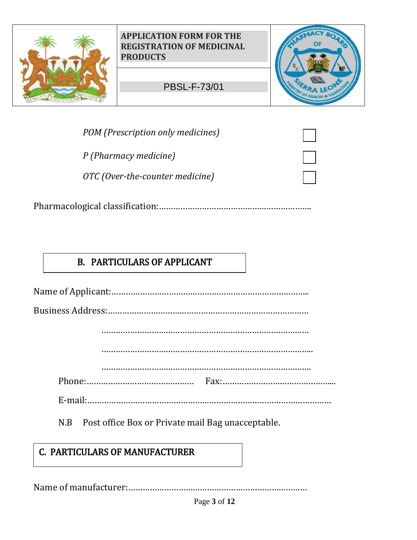

*POM (Prescription only medicines)* 

*P (Pharmacy medicine)* 

*OTC (Over-the-counter medicine)* 

|--|

## B. PARTICULARS OF APPLICANT

Name of Applicant:………………………………………………………………………..

Business Address:…………………………………………………………………………

……………………………………………………………………………

……………………………………………………………………………..

…………………………………………………………………………….

Phone:……………………………………… Fax:………………………………………...

E-mail:…………………………………………………………………………………………

N.B Post office Box or Private mail Bag unacceptable.

# C. PARTICULARS OF MANUFACTURER

Name of manufacturer:…………………………………………………………………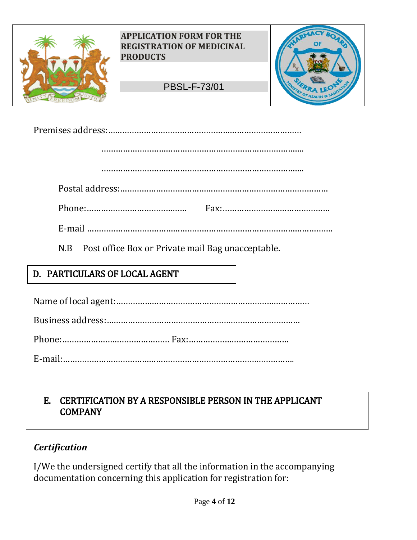

|--|

………………………………………………………………………….

………………………………………………………………………….

Postal address:……………………………………………………………………………

Phone:…………………………………… Fax:………………………………………

E-mail ………………………………………………………………………………………….

N.B Post office Box or Private mail Bag unacceptable.

# D. PARTICULARS OF LOCAL AGENT

Name of local agent:………………………………………………………………………

Business address:………………………………………………………………………

Phone:……………………………………… Fax:……………………………………

E-mail:…………………………………………………………………………………….

## E. CERTIFICATION BY A RESPONSIBLE PERSON IN THE APPLICANT COMPANY

## *Certification*

I/We the undersigned certify that all the information in the accompanying documentation concerning this application for registration for: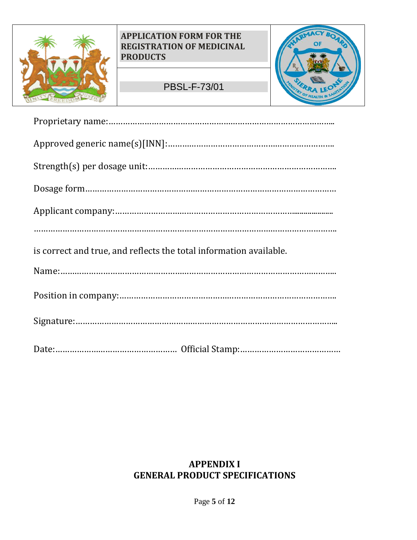

## PBSL-F-73/01



| is correct and true, and reflects the total information available. |
|--------------------------------------------------------------------|
|                                                                    |
|                                                                    |
|                                                                    |
|                                                                    |

## **APPENDIX I GENERAL PRODUCT SPECIFICATIONS**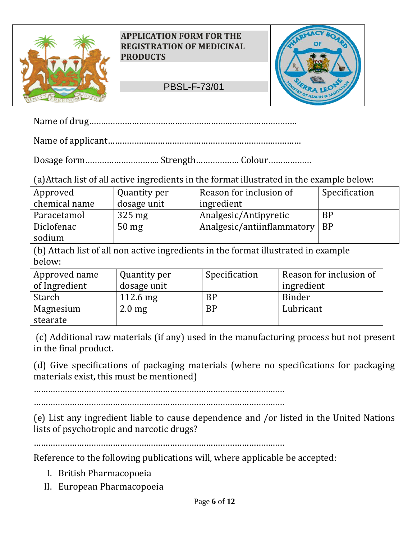

## PBSL-F-73/01



Name of drug……………………………………………………………………………

Name of applicant………………………………………………………………………

Dosage form…………………………. Strength……………… Colour………………

(a)Attach list of all active ingredients in the format illustrated in the example below:

| Specification |
|---------------|
|               |
|               |
|               |
|               |

(b) Attach list of all non active ingredients in the format illustrated in example below:

| Approved name | Quantity per     | Specification | Reason for inclusion of |
|---------------|------------------|---------------|-------------------------|
| of Ingredient | dosage unit      |               | ingredient              |
| <b>Starch</b> | $112.6$ mg       | <b>BP</b>     | Binder                  |
| Magnesium     | $2.0 \text{ mg}$ | <b>BP</b>     | Lubricant               |
| stearate      |                  |               |                         |

(c) Additional raw materials (if any) used in the manufacturing process but not present in the final product.

(d) Give specifications of packaging materials (where no specifications for packaging materials exist, this must be mentioned)

……………………………………………………………………………………………

(e) List any ingredient liable to cause dependence and /or listed in the United Nations lists of psychotropic and narcotic drugs?

……………………………………………………………………………………………

Reference to the following publications will, where applicable be accepted:

- I. British Pharmacopoeia
- II. European Pharmacopoeia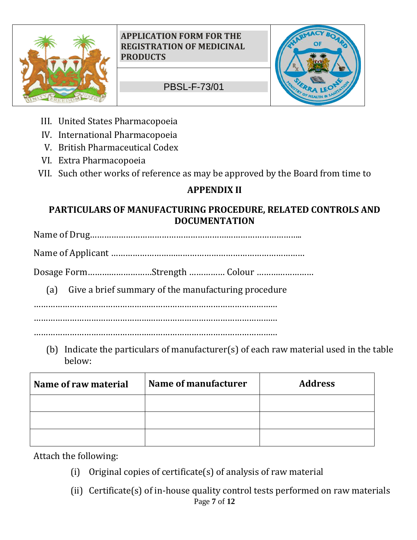

PBSL-F-73/01



- III. United States Pharmacopoeia
- IV. International Pharmacopoeia
- V. British Pharmaceutical Codex
- VI. Extra Pharmacopoeia
- VII. Such other works of reference as may be approved by the Board from time to

# **APPENDIX II**

## **PARTICULARS OF MANUFACTURING PROCEDURE, RELATED CONTROLS AND DOCUMENTATION**

Name of Drug……………………………………………………………………………..

Name of Applicant ………………………………………………………………………

Dosage Form………………………Strength …………… Colour ……………………

(a) Give a brief summary of the manufacturing procedure

…………………………………………………………………………………………

………………………………………………………………………………………… …………………………………………………………………………………………

(b) Indicate the particulars of manufacturer(s) of each raw material used in the table below:

| Name of raw material | Name of manufacturer | <b>Address</b> |
|----------------------|----------------------|----------------|
|                      |                      |                |
|                      |                      |                |
|                      |                      |                |

Attach the following:

- (i) Original copies of certificate(s) of analysis of raw material
- Page **7** of **12** (ii) Certificate(s) of in-house quality control tests performed on raw materials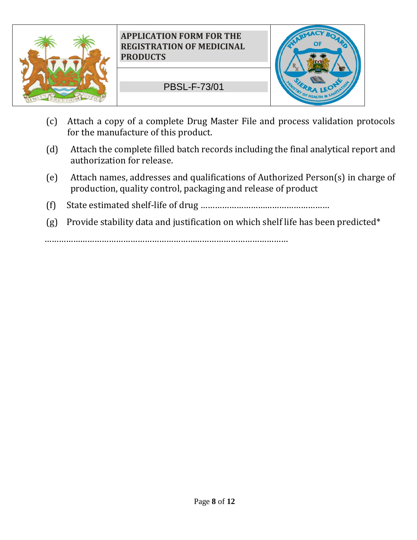

PBSL-F-73/01



- (c) Attach a copy of a complete Drug Master File and process validation protocols for the manufacture of this product.
- (d) Attach the complete filled batch records including the final analytical report and authorization for release.
- (e) Attach names, addresses and qualifications of Authorized Person(s) in charge of production, quality control, packaging and release of product
- (f) State estimated shelf-life of drug ………………………………………………
- (g) Provide stability data and justification on which shelf life has been predicted\*

…………………………………………………………………………………………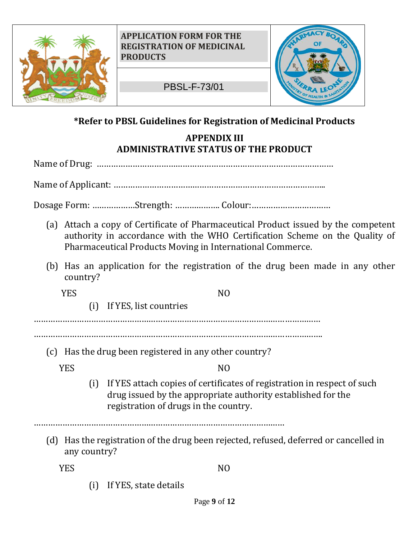

PBSL-F-73/01



## **\*Refer to PBSL Guidelines for Registration of Medicinal Products**

**APPENDIX III ADMINISTRATIVE STATUS OF THE PRODUCT**

Name of Drug: ………………………………………………………………………………………

Name of Applicant: ……………………………………………………………………………..

Dosage Form: ………………Strength: ………………. Colour:……………………………

- (a) Attach a copy of Certificate of Pharmaceutical Product issued by the competent authority in accordance with the WHO Certification Scheme on the Quality of Pharmaceutical Products Moving in International Commerce.
- (b) Has an application for the registration of the drug been made in any other country?

YES NO

(i) If YES, list countries

…………………………………………………………………………………………………………

………………………………………………………………………………………………………….

(c) Has the drug been registered in any other country?

YES NO

(i) If YES attach copies of certificates of registration in respect of such drug issued by the appropriate authority established for the registration of drugs in the country.

……………………………………………………………………………………………

(d) Has the registration of the drug been rejected, refused, deferred or cancelled in any country?

YES NO

(i) If YES, state details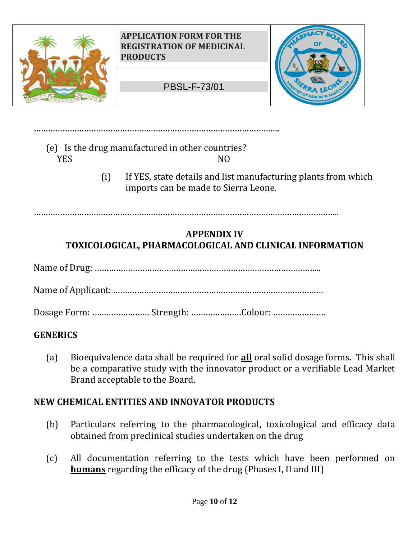

(e) Is the drug manufactured in other countries? YES NO

………………………………………………………………………………………….

(i) If YES, state details and list manufacturing plants from which imports can be made to Sierra Leone.

………………………………………………………………………………………………………………..

## **APPENDIX IV TOXICOLOGICAL, PHARMACOLOGICAL AND CLINICAL INFORMATION**

Name of Drug: …………………………………………………………………………………..

Name of Applicant: .……………………………………………………………………………

Dosage Form: …………………… Strength: …………………Colour: ………………….

## **GENERICS**

(a) Bioequivalence data shall be required for **all** oral solid dosage forms. This shall be a comparative study with the innovator product or a verifiable Lead Market Brand acceptable to the Board.

## **NEW CHEMICAL ENTITIES AND INNOVATOR PRODUCTS**

- (b) Particulars referring to the pharmacological**,** toxicological and efficacy data obtained from preclinical studies undertaken on the drug
- (c) All documentation referring to the tests which have been performed on **humans** regarding the efficacy of the drug (Phases I, II and III)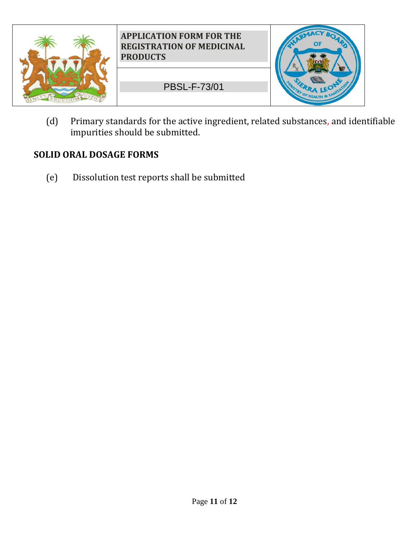

(d) Primary standards for the active ingredient, related substances, and identifiable impurities should be submitted.

## **SOLID ORAL DOSAGE FORMS**

(e) Dissolution test reports shall be submitted